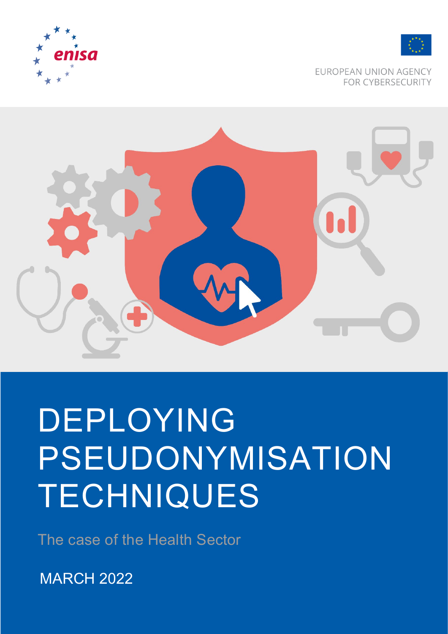



EUROPEAN UNION AGENCY **FOR CYBERSECURITY** 



# DEPLOYING PSEUDONYMISATION **TECHNIQUES**

The case of the Health Sector

MARCH 2022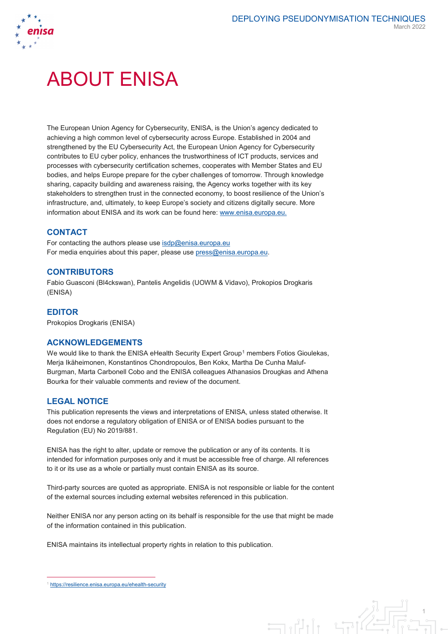

1

# ABOUT ENISA

The European Union Agency for Cybersecurity, ENISA, is the Union's agency dedicated to achieving a high common level of cybersecurity across Europe. Established in 2004 and strengthened by the EU Cybersecurity Act, the European Union Agency for Cybersecurity contributes to EU cyber policy, enhances the trustworthiness of ICT products, services and processes with cybersecurity certification schemes, cooperates with Member States and EU bodies, and helps Europe prepare for the cyber challenges of tomorrow. Through knowledge sharing, capacity building and awareness raising, the Agency works together with its key stakeholders to strengthen trust in the connected economy, to boost resilience of the Union's infrastructure, and, ultimately, to keep Europe's society and citizens digitally secure. More information about ENISA and its work can be found here: [www.enisa.europa.eu.](http://www.enisa.europa.eu/)

## **CONTACT**

For contacting the authors please us[e isdp@enisa.europa.eu](mailto:isdp@enisa.europa.eu) For media enquiries about this paper, please use [press@enisa.europa.eu.](mailto:press@enisa.europa.eu)

#### **CONTRIBUTORS**

Fabio Guasconi (Bl4ckswan), Pantelis Angelidis (UOWM & Vidavo), Prokopios Drogkaris (ENISA)

### **EDITOR**

Prokopios Drogkaris (ENISA)

### **ACKNOWLEDGEMENTS**

We would like to thank the ENISA eHealth Security Expert Group<sup>[1](#page-1-0)</sup> members Fotios Gioulekas, Merja Ikäheimonen, Konstantinos Chondropoulos, Ben Kokx, Martha De Cunha Maluf-Burgman, Marta Carbonell Cobo and the ENISA colleagues Athanasios Drougkas and Athena Bourka for their valuable comments and review of the document.

### **LEGAL NOTICE**

This publication represents the views and interpretations of ENISA, unless stated otherwise. It does not endorse a regulatory obligation of ENISA or of ENISA bodies pursuant to the Regulation (EU) No 2019/881.

ENISA has the right to alter, update or remove the publication or any of its contents. It is intended for information purposes only and it must be accessible free of charge. All references to it or its use as a whole or partially must contain ENISA as its source.

Third-party sources are quoted as appropriate. ENISA is not responsible or liable for the content of the external sources including external websites referenced in this publication.

Neither ENISA nor any person acting on its behalf is responsible for the use that might be made of the information contained in this publication.

 $\exists$ 

ENISA maintains its intellectual property rights in relation to this publication.

<span id="page-1-0"></span><https://resilience.enisa.europa.eu/ehealth-security>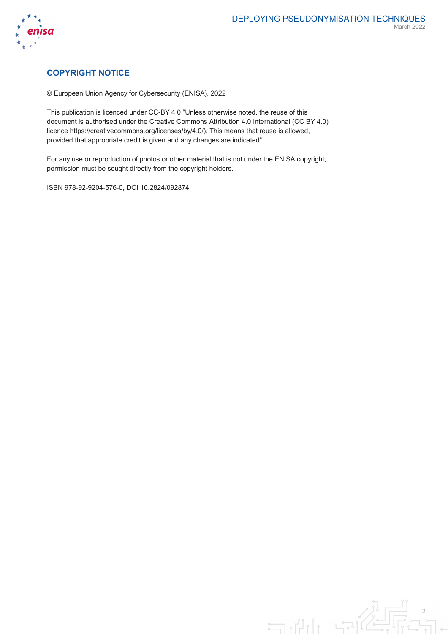

# **COPYRIGHT NOTICE**

© European Union Agency for Cybersecurity (ENISA), 2022

This publication is licenced under CC-BY 4.0 "Unless otherwise noted, the reuse of this document is authorised under the Creative Commons Attribution 4.0 International (CC BY 4.0) licence https://creativecommons.org/licenses/by/4.0/). This means that reuse is allowed, provided that appropriate credit is given and any changes are indicated".

For any use or reproduction of photos or other material that is not under the ENISA copyright, permission must be sought directly from the copyright holders.

ISBN 978-92-9204-576-0, DOI 10.2824/092874

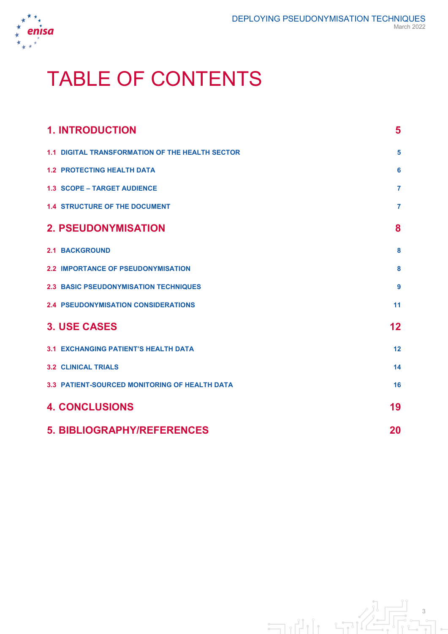

# TABLE OF CONTENTS

| <b>1. INTRODUCTION</b>                               | 5              |
|------------------------------------------------------|----------------|
| 1.1 DIGITAL TRANSFORMATION OF THE HEALTH SECTOR      | 5              |
| <b>1.2 PROTECTING HEALTH DATA</b>                    | 6              |
| <b>1.3 SCOPE - TARGET AUDIENCE</b>                   | $\overline{7}$ |
| <b>1.4 STRUCTURE OF THE DOCUMENT</b>                 | $\overline{7}$ |
| <b>2. PSEUDONYMISATION</b>                           | 8              |
| <b>2.1 BACKGROUND</b>                                | 8              |
| <b>2.2 IMPORTANCE OF PSEUDONYMISATION</b>            | 8              |
| <b>2.3 BASIC PSEUDONYMISATION TECHNIQUES</b>         | 9              |
| <b>2.4 PSEUDONYMISATION CONSIDERATIONS</b>           | 11             |
| <b>3. USE CASES</b>                                  | 12             |
| <b>3.1 EXCHANGING PATIENT'S HEALTH DATA</b>          | 12             |
| <b>3.2 CLINICAL TRIALS</b>                           | 14             |
| <b>3.3 PATIENT-SOURCED MONITORING OF HEALTH DATA</b> | 16             |
| <b>4. CONCLUSIONS</b>                                | 19             |
| <b>5. BIBLIOGRAPHY/REFERENCES</b>                    | 20             |

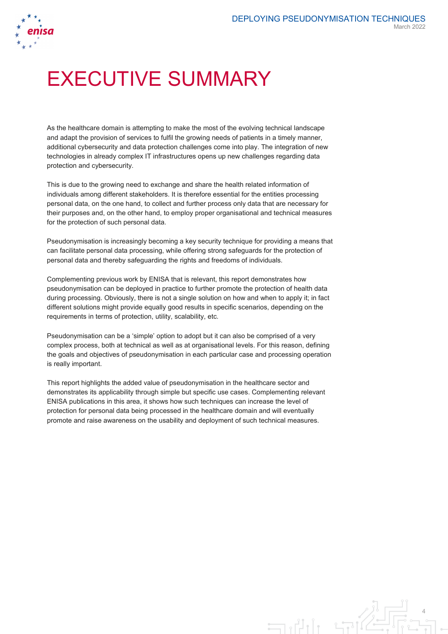

# EXECUTIVE SUMMARY

As the healthcare domain is attempting to make the most of the evolving technical landscape and adapt the provision of services to fulfil the growing needs of patients in a timely manner, additional cybersecurity and data protection challenges come into play. The integration of new technologies in already complex IT infrastructures opens up new challenges regarding data protection and cybersecurity.

This is due to the growing need to exchange and share the health related information of individuals among different stakeholders. It is therefore essential for the entities processing personal data, on the one hand, to collect and further process only data that are necessary for their purposes and, on the other hand, to employ proper organisational and technical measures for the protection of such personal data.

Pseudonymisation is increasingly becoming a key security technique for providing a means that can facilitate personal data processing, while offering strong safeguards for the protection of personal data and thereby safeguarding the rights and freedoms of individuals.

Complementing previous work by ENISA that is relevant, this report demonstrates how pseudonymisation can be deployed in practice to further promote the protection of health data during processing. Obviously, there is not a single solution on how and when to apply it; in fact different solutions might provide equally good results in specific scenarios, depending on the requirements in terms of protection, utility, scalability, etc.

Pseudonymisation can be a 'simple' option to adopt but it can also be comprised of a very complex process, both at technical as well as at organisational levels. For this reason, defining the goals and objectives of pseudonymisation in each particular case and processing operation is really important.

This report highlights the added value of pseudonymisation in the healthcare sector and demonstrates its applicability through simple but specific use cases. Complementing relevant ENISA publications in this area, it shows how such techniques can increase the level of protection for personal data being processed in the healthcare domain and will eventually promote and raise awareness on the usability and deployment of such technical measures.

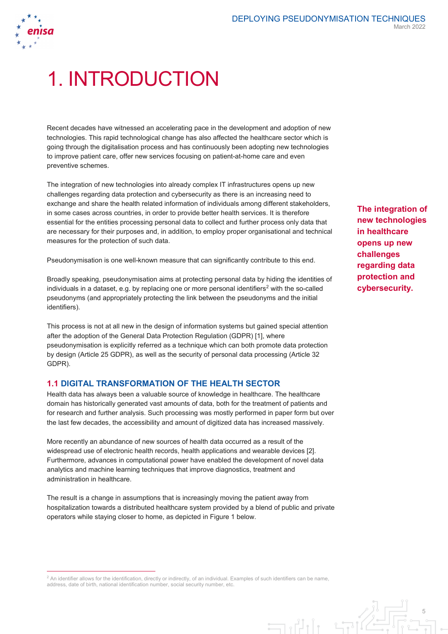

# 1. INTRODUCTION

Recent decades have witnessed an accelerating pace in the development and adoption of new technologies. This rapid technological change has also affected the healthcare sector which is going through the digitalisation process and has continuously been adopting new technologies to improve patient care, offer new services focusing on patient-at-home care and even preventive schemes.

The integration of new technologies into already complex IT infrastructures opens up new challenges regarding data protection and cybersecurity as there is an increasing need to exchange and share the health related information of individuals among different stakeholders, in some cases across countries, in order to provide better health services. It is therefore essential for the entities processing personal data to collect and further process only data that are necessary for their purposes and, in addition, to employ proper organisational and technical measures for the protection of such data.

Pseudonymisation is one well-known measure that can significantly contribute to this end.

Broadly speaking, pseudonymisation aims at protecting personal data by hiding the identities of individuals in a dataset, e.g. by replacing one or more personal identifiers<sup>[2](#page-5-0)</sup> with the so-called pseudonyms (and appropriately protecting the link between the pseudonyms and the initial identifiers).

This process is not at all new in the design of information systems but gained special attention after the adoption of the General Data Protection Regulation (GDPR) [1], where pseudonymisation is explicitly referred as a technique which can both promote data protection by design (Article 25 GDPR), as well as the security of personal data processing (Article 32 GDPR).

# **1.1 DIGITAL TRANSFORMATION OF THE HEALTH SECTOR**

Health data has always been a valuable source of knowledge in healthcare. The healthcare domain has historically generated vast amounts of data, both for the treatment of patients and for research and further analysis. Such processing was mostly performed in paper form but over the last few decades, the accessibility and amount of digitized data has increased massively.

More recently an abundance of new sources of health data occurred as a result of the widespread use of electronic health records, health applications and wearable devices [2]. Furthermore, advances in computational power have enabled the development of novel data analytics and machine learning techniques that improve diagnostics, treatment and administration in healthcare.

The result is a change in assumptions that is increasingly moving the patient away from hospitalization towards a distributed healthcare system provided by a blend of public and private operators while staying closer to home, as depicted in Figure 1 below.

 $\exists$ 

**The integration of new technologies in healthcare opens up new challenges regarding data protection and cybersecurity.**

5

<span id="page-5-0"></span><sup>&</sup>lt;sup>2</sup> An identifier allows for the identification, directly or indirectly, of an individual. Examples of such identifiers can be name, address, date of birth, national identification number, social security number, etc.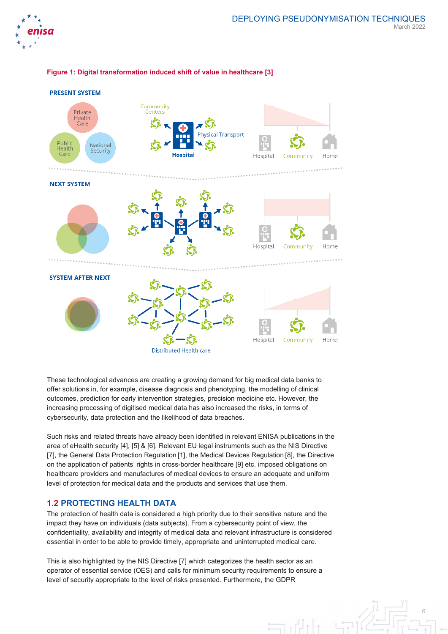



#### **Figure 1: Digital transformation induced shift of value in healthcare [3]**

These technological advances are creating a growing demand for big medical data banks to offer solutions in, for example, disease diagnosis and phenotyping, the modelling of clinical outcomes, prediction for early intervention strategies, precision medicine etc. However, the increasing processing of digitised medical data has also increased the risks, in terms of cybersecurity, data protection and the likelihood of data breaches.

Such risks and related threats have already been identified in relevant ENISA publications in the area of eHealth security [4], [5] & [6]. Relevant EU legal instruments such as the NIS Directive [7], the General Data Protection Regulation [1], the Medical Devices Regulation [8], the Directive on the application of patients' rights in cross-border healthcare [9] etc. imposed obligations on healthcare providers and manufactures of medical devices to ensure an adequate and uniform level of protection for medical data and the products and services that use them.

### **1.2 PROTECTING HEALTH DATA**

The protection of health data is considered a high priority due to their sensitive nature and the impact they have on individuals (data subjects). From a cybersecurity point of view, the confidentiality, availability and integrity of medical data and relevant infrastructure is considered essential in order to be able to provide timely, appropriate and uninterrupted medical care.

This is also highlighted by the NIS Directive [7] which categorizes the health sector as an operator of essential service (OES) and calls for minimum security requirements to ensure a level of security appropriate to the level of risks presented. Furthermore, the GDPR

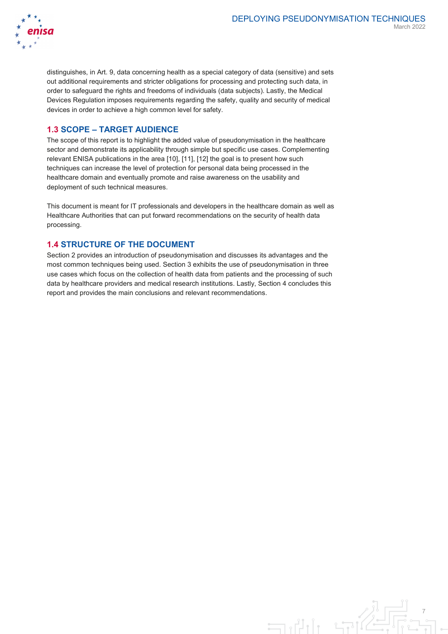

distinguishes, in Art. 9, data concerning health as a special category of data (sensitive) and sets out additional requirements and stricter obligations for processing and protecting such data, in order to safeguard the rights and freedoms of individuals (data subjects). Lastly, the Medical Devices Regulation imposes requirements regarding the safety, quality and security of medical devices in order to achieve a high common level for safety.

# **1.3 SCOPE – TARGET AUDIENCE**

The scope of this report is to highlight the added value of pseudonymisation in the healthcare sector and demonstrate its applicability through simple but specific use cases. Complementing relevant ENISA publications in the area [10], [11], [12] the goal is to present how such techniques can increase the level of protection for personal data being processed in the healthcare domain and eventually promote and raise awareness on the usability and deployment of such technical measures.

This document is meant for IT professionals and developers in the healthcare domain as well as Healthcare Authorities that can put forward recommendations on the security of health data processing.

## **1.4 STRUCTURE OF THE DOCUMENT**

Section 2 provides an introduction of pseudonymisation and discusses its advantages and the most common techniques being used. Section 3 exhibits the use of pseudonymisation in three use cases which focus on the collection of health data from patients and the processing of such data by healthcare providers and medical research institutions. Lastly, Section 4 concludes this report and provides the main conclusions and relevant recommendations.

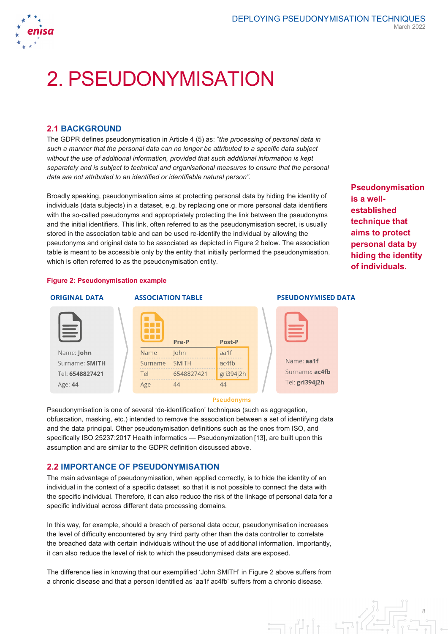

# 2. PSEUDONYMISATION

### **2.1 BACKGROUND**

The GDPR defines pseudonymisation in Article 4 (5) as: "*the processing of personal data in such a manner that the personal data can no longer be attributed to a specific data subject without the use of additional information, provided that such additional information is kept separately and is subject to technical and organisational measures to ensure that the personal data are not attributed to an identified or identifiable natural person"*.

Broadly speaking, pseudonymisation aims at protecting personal data by hiding the identity of individuals (data subjects) in a dataset, e.g. by replacing one or more personal data identifiers with the so-called pseudonyms and appropriately protecting the link between the pseudonyms and the initial identifiers. This link, often referred to as the pseudonymisation secret, is usually stored in the association table and can be used re-identify the individual by allowing the pseudonyms and original data to be associated as depicted in Figure 2 below. The association table is meant to be accessible only by the entity that initially performed the pseudonymisation, which is often referred to as the pseudonymisation entity.

**Pseudonymisation is a wellestablished technique that aims to protect personal data by hiding the identity of individuals.**

#### <span id="page-8-0"></span>**Figure 2: Pseudonymisation example**

#### **ORIGINAL DATA**

Name: John Surname: SMITH Tel: 6548827421 Age: 44





#### **Pseudonyms**

Pseudonymisation is one of several 'de-identification' techniques (such as aggregation, obfuscation, masking, etc.) intended to remove the association between a set of identifying data and the data principal. Other pseudonymisation definitions such as the ones from ISO, and specifically ISO 25237:2017 Health informatics — Pseudonymization [13], are built upon this assumption and are similar to the GDPR definition discussed above.

### **2.2 IMPORTANCE OF PSEUDONYMISATION**

The main advantage of pseudonymisation, when applied correctly, is to hide the identity of an individual in the context of a specific dataset, so that it is not possible to connect the data with the specific individual. Therefore, it can also reduce the risk of the linkage of personal data for a specific individual across different data processing domains.

In this way, for example, should a breach of personal data occur, pseudonymisation increases the level of difficulty encountered by any third party other than the data controller to correlate the breached data with certain individuals without the use of additional information. Importantly, it can also reduce the level of risk to which the pseudonymised data are exposed.

The difference lies in knowing that our exemplified 'John SMITH' in Figure 2 above suffers from a chronic disease and that a person identified as 'aa1f ac4fb' suffers from a chronic disease.

#### **PSEUDONYMISED DATA**



أزرات

8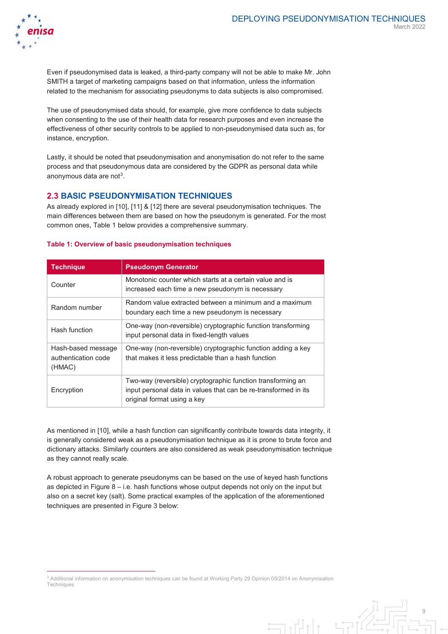9



Even if pseudonymised data is leaked, a third-party company will not be able to make Mr. John SMITH a target of marketing campaigns based on that information, unless the information related to the mechanism for associating pseudonyms to data subjects is also compromised.

The use of pseudonymised data should, for example, give more confidence to data subjects when consenting to the use of their health data for research purposes and even increase the effectiveness of other security controls to be applied to non-pseudonymised data such as, for instance, encryption.

Lastly, it should be noted that pseudonymisation and anonymisation do not refer to the same process and that pseudonymous data are considered by the GDPR as personal data while anonymous data are not<sup>[3](#page-9-0)</sup>.

# **2.3 BASIC PSEUDONYMISATION TECHNIQUES**

As already explored in [10], [11] & [12] there are several pseudonymisation techniques. The main differences between them are based on how the pseudonym is generated. For the most common ones, Table 1 below provides a comprehensive summary.

| <b>Technique</b>                                    | <b>Pseudonym Generator</b>                                                                                                                                    |
|-----------------------------------------------------|---------------------------------------------------------------------------------------------------------------------------------------------------------------|
| Counter                                             | Monotonic counter which starts at a certain value and is<br>increased each time a new pseudonym is necessary                                                  |
| Random number                                       | Random value extracted between a minimum and a maximum<br>boundary each time a new pseudonym is necessary                                                     |
| Hash function                                       | One-way (non-reversible) cryptographic function transforming<br>input personal data in fixed-length values                                                    |
| Hash-based message<br>authentication code<br>(HMAC) | One-way (non-reversible) cryptographic function adding a key<br>that makes it less predictable than a hash function                                           |
| Encryption                                          | Two-way (reversible) cryptographic function transforming an<br>input personal data in values that can be re-transformed in its<br>original format using a key |

#### <span id="page-9-1"></span>**Table 1: Overview of basic pseudonymisation techniques**

As mentioned in [10], while a hash function can significantly contribute towards data integrity, it is generally considered weak as a pseudonymisation technique as it is prone to brute force and dictionary attacks. Similarly counters are also considered as weak pseudonymisation technique as they cannot really scale.

A robust approach to generate pseudonyms can be based on the use of keyed hash functions as depicted i[n Figure 8](#page-16-0) – i.e. hash functions whose output depends not only on the input but also on a secret key (salt). Some practical examples of the application of the aforementioned techniques are presented in Figure 3 below:

 $\exists$ 

<span id="page-9-0"></span> <sup>3</sup> Additional information on anonymisation techniques can be found at Working Party 29 Opinion 05/2014 on Anonymisation **Techniques**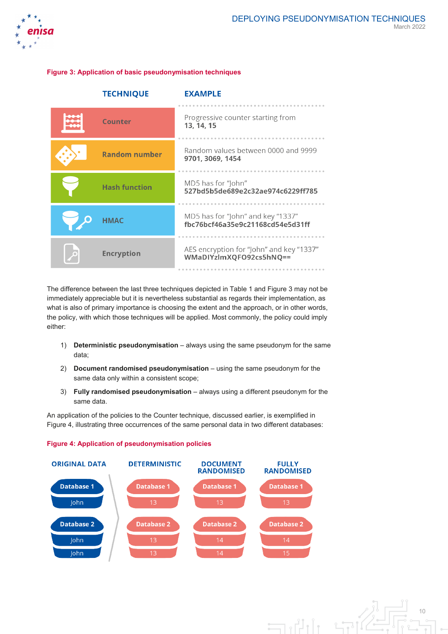

#### <span id="page-10-0"></span>**Figure 3: Application of basic pseudonymisation techniques**

| <b>TECHNIQUE</b>     | <b>EXAMPLE</b>                                                        |
|----------------------|-----------------------------------------------------------------------|
| Counter              | Progressive counter starting from<br>13, 14, 15                       |
| <b>Random number</b> | Random values between 0000 and 9999<br>9701, 3069, 1454               |
| <b>Hash function</b> | MD5 has for "John"<br>527bd5b5de689e2c32ae974c6229ff785               |
| НМАС                 | MD5 has for "John" and key "1337"<br>fbc76bcf46a35e9c21168cd54e5d31ff |
| <b>Encryption</b>    | AES encryption for "John" and key "1337"<br>WMaDIYzImXQFO92cs5hNQ==   |

The difference between the last three techniques depicted i[n Table 1](#page-9-1) an[d Figure 3](#page-10-0) may not be immediately appreciable but it is nevertheless substantial as regards their implementation, as what is also of primary importance is choosing the extent and the approach, or in other words, the policy, with which those techniques will be applied. Most commonly, the policy could imply either:

- 1) **Deterministic pseudonymisation** always using the same pseudonym for the same data;
- 2) **Document randomised pseudonymisation** using the same pseudonym for the same data only within a consistent scope;
- 3) **Fully randomised pseudonymisation** always using a different pseudonym for the same data.

An application of the policies to the Counter technique, discussed earlier, is exemplified in Figure 4, illustrating three occurrences of the same personal data in two different databases:



#### **Figure 4: Application of pseudonymisation policies**

10  $\Box$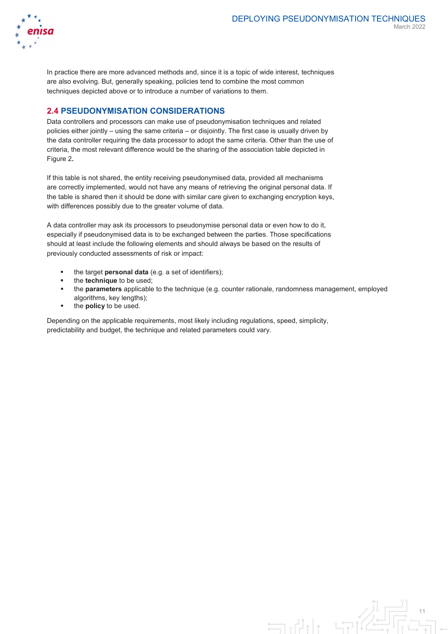

In practice there are more advanced methods and, since it is a topic of wide interest, techniques are also evolving. But, generally speaking, policies tend to combine the most common techniques depicted above or to introduce a number of variations to them.

## **2.4 PSEUDONYMISATION CONSIDERATIONS**

Data controllers and processors can make use of pseudonymisation techniques and related policies either jointly – using the same criteria – or disjointly. The first case is usually driven by the data controller requiring the data processor to adopt the same criteria. Other than the use of criteria, the most relevant difference would be the sharing of the association table depicted in [Figure 2](#page-8-0)**.**

If this table is not shared, the entity receiving pseudonymised data, provided all mechanisms are correctly implemented, would not have any means of retrieving the original personal data. If the table is shared then it should be done with similar care given to exchanging encryption keys, with differences possibly due to the greater volume of data.

A data controller may ask its processors to pseudonymise personal data or even how to do it, especially if pseudonymised data is to be exchanged between the parties. Those specifications should at least include the following elements and should always be based on the results of previously conducted assessments of risk or impact:

- the target **personal data** (e.g. a set of identifiers);
- the **technique** to be used;
- the **parameters** applicable to the technique (e.g. counter rationale, randomness management, employed algorithms, key lengths);
- **the policy** to be used.

Depending on the applicable requirements, most likely including regulations, speed, simplicity, predictability and budget, the technique and related parameters could vary.

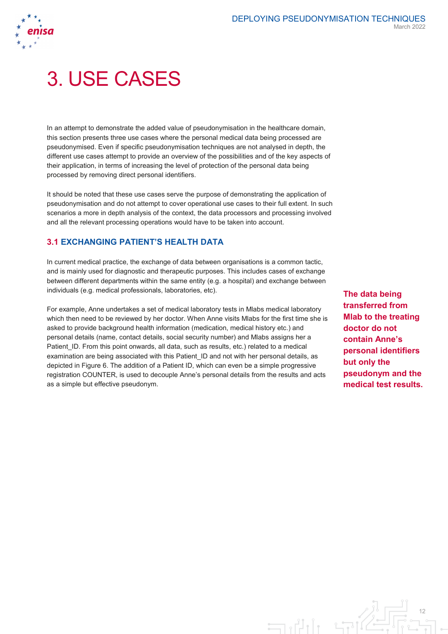

# 3. USE CASES

In an attempt to demonstrate the added value of pseudonymisation in the healthcare domain, this section presents three use cases where the personal medical data being processed are pseudonymised. Even if specific pseudonymisation techniques are not analysed in depth, the different use cases attempt to provide an overview of the possibilities and of the key aspects of their application, in terms of increasing the level of protection of the personal data being processed by removing direct personal identifiers.

It should be noted that these use cases serve the purpose of demonstrating the application of pseudonymisation and do not attempt to cover operational use cases to their full extent. In such scenarios a more in depth analysis of the context, the data processors and processing involved and all the relevant processing operations would have to be taken into account.

# <span id="page-12-0"></span>**3.1 EXCHANGING PATIENT'S HEALTH DATA**

In current medical practice, the exchange of data between organisations is a common tactic, and is mainly used for diagnostic and therapeutic purposes. This includes cases of exchange between different departments within the same entity (e.g. a hospital) and exchange between individuals (e.g. medical professionals, laboratories, etc).

For example, Anne undertakes a set of medical laboratory tests in Mlabs medical laboratory which then need to be reviewed by her doctor. When Anne visits Mlabs for the first time she is asked to provide background health information (medication, medical history etc.) and personal details (name, contact details, social security number) and Mlabs assigns her a Patient ID. From this point onwards, all data, such as results, etc.) related to a medical examination are being associated with this Patient\_ID and not with her personal details, as depicted in Figure 6. The addition of a Patient ID, which can even be a simple progressive registration COUNTER, is used to decouple Anne's personal details from the results and acts as a simple but effective pseudonym.

**The data being transferred from Mlab to the treating doctor do not contain Anne's personal identifiers but only the pseudonym and the medical test results.**

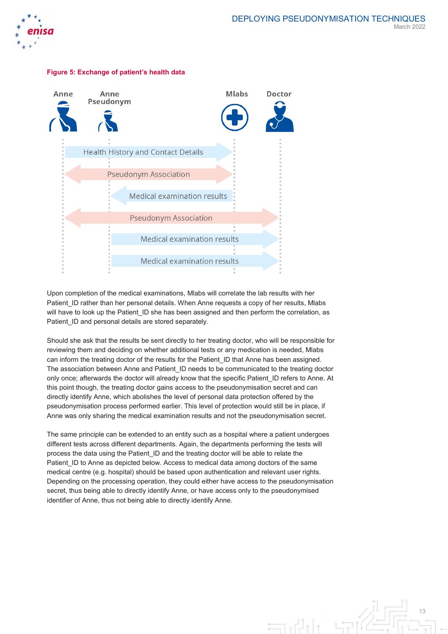





Upon completion of the medical examinations, Mlabs will correlate the lab results with her Patient ID rather than her personal details. When Anne requests a copy of her results, Mlabs will have to look up the Patient ID she has been assigned and then perform the correlation, as Patient ID and personal details are stored separately.

Should she ask that the results be sent directly to her treating doctor, who will be responsible for reviewing them and deciding on whether additional tests or any medication is needed, Mlabs can inform the treating doctor of the results for the Patient ID that Anne has been assigned. The association between Anne and Patient ID needs to be communicated to the treating doctor only once; afterwards the doctor will already know that the specific Patient\_ID refers to Anne. At this point though, the treating doctor gains access to the pseudonymisation secret and can directly identify Anne, which abolishes the level of personal data protection offered by the pseudonymisation process performed earlier. This level of protection would still be in place, if Anne was only sharing the medical examination results and not the pseudonymisation secret.

The same principle can be extended to an entity such as a hospital where a patient undergoes different tests across different departments. Again, the departments performing the tests will process the data using the Patient\_ID and the treating doctor will be able to relate the Patient ID to Anne as depicted below. Access to medical data among doctors of the same medical centre (e.g. hospital) should be based upon authentication and relevant user rights. Depending on the processing operation, they could either have access to the pseudonymisation secret, thus being able to directly identify Anne, or have access only to the pseudonymised identifier of Anne, thus not being able to directly identify Anne.

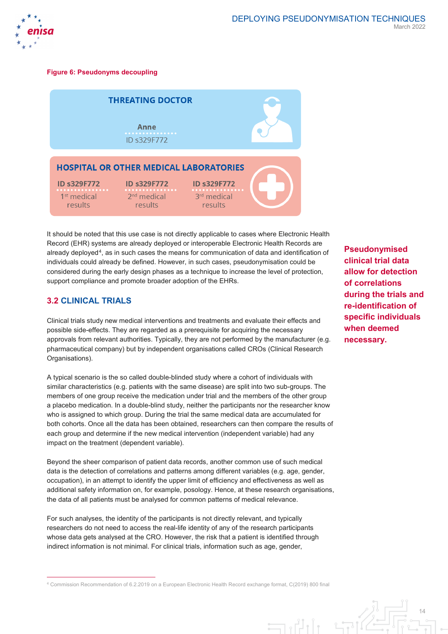

#### **Figure 6: Pseudonyms decoupling**

| <b>THREATING DOCTOR</b>                                       |                                                     |                                                          |  |
|---------------------------------------------------------------|-----------------------------------------------------|----------------------------------------------------------|--|
|                                                               | Anne<br>.<br>ID s329F772                            |                                                          |  |
|                                                               | <b>HOSPITAL OR OTHER MEDICAL LABORATORIES</b>       |                                                          |  |
| <b>ID s329F772</b><br>.<br>1 <sup>st</sup> medical<br>results | <b>ID s329F772</b><br>.<br>$2nd$ medical<br>results | <b>ID s329F772</b><br>3 <sup>rd</sup> medical<br>results |  |

It should be noted that this use case is not directly applicable to cases where Electronic Health Record (EHR) systems are already deployed or interoperable Electronic Health Records are already deployed<sup>4</sup>, as in such cases the means for communication of data and identification of individuals could already be defined. However, in such cases, pseudonymisation could be considered during the early design phases as a technique to increase the level of protection, support compliance and promote broader adoption of the EHRs.

# **3.2 CLINICAL TRIALS**

Clinical trials study new medical interventions and treatments and evaluate their effects and possible side-effects. They are regarded as a prerequisite for acquiring the necessary approvals from relevant authorities. Typically, they are not performed by the manufacturer (e.g. pharmaceutical company) but by independent organisations called CROs (Clinical Research Organisations).

A typical scenario is the so called double-blinded study where a cohort of individuals with similar characteristics (e.g. patients with the same disease) are split into two sub-groups. The members of one group receive the medication under trial and the members of the other group a placebo medication. In a double-blind study, neither the participants nor the researcher know who is assigned to which group. During the trial the same medical data are accumulated for both cohorts. Once all the data has been obtained, researchers can then compare the results of each group and determine if the new medical intervention (independent variable) had any impact on the treatment (dependent variable).

Beyond the sheer comparison of patient data records, another common use of such medical data is the detection of correlations and patterns among different variables (e.g. age, gender, occupation), in an attempt to identify the upper limit of efficiency and effectiveness as well as additional safety information on, for example, posology. Hence, at these research organisations, the data of all patients must be analysed for common patterns of medical relevance.

For such analyses, the identity of the participants is not directly relevant, and typically researchers do not need to access the real-life identity of any of the research participants whose data gets analysed at the CRO. However, the risk that a patient is identified through indirect information is not minimal. For clinical trials, information such as age, gender,

<span id="page-14-0"></span>4 Commission Recommendation of 6.2.2019 on a European Electronic Health Record exchange format, C(2019) 800 final

**Pseudonymised clinical trial data allow for detection of correlations during the trials and re-identification of specific individuals when deemed necessary.**

14 انی ہے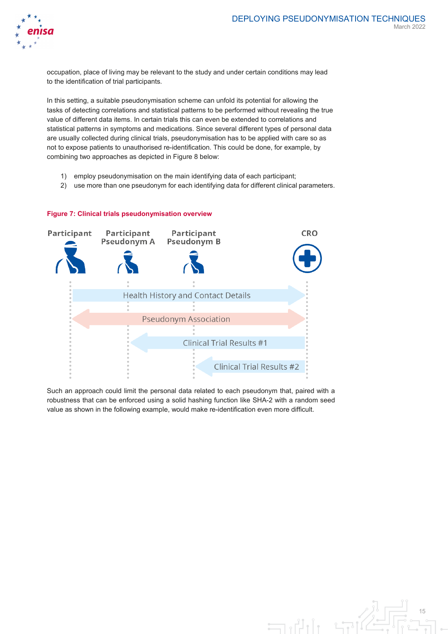

occupation, place of living may be relevant to the study and under certain conditions may lead to the identification of trial participants.

In this setting, a suitable pseudonymisation scheme can unfold its potential for allowing the tasks of detecting correlations and statistical patterns to be performed without revealing the true value of different data items. In certain trials this can even be extended to correlations and statistical patterns in symptoms and medications. Since several different types of personal data are usually collected during clinical trials, pseudonymisation has to be applied with care so as not to expose patients to unauthorised re-identification. This could be done, for example, by combining two approaches as depicted in Figure 8 below:

- 1) employ pseudonymisation on the main identifying data of each participant;
- 2) use more than one pseudonym for each identifying data for different clinical parameters.



#### **Figure 7: Clinical trials pseudonymisation overview**

Such an approach could limit the personal data related to each pseudonym that, paired with a robustness that can be enforced using a solid hashing function like SHA-2 with a random seed value as shown in the following example, would make re-identification even more difficult.

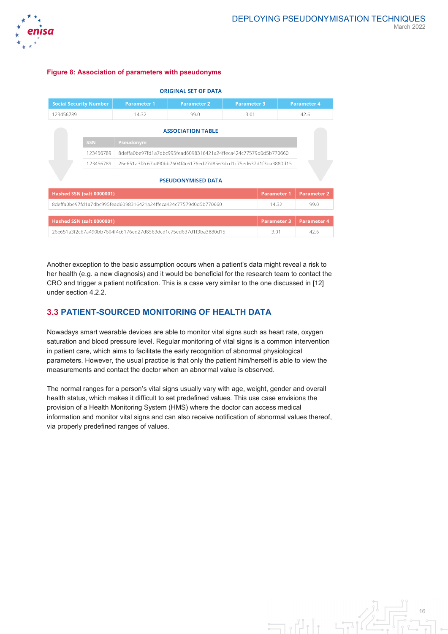

#### <span id="page-16-0"></span>**Figure 8: Association of parameters with pseudonyms**

| <b>ORIGINAL SET OF DATA</b>                                                                     |                                                                               |                       |                    |      |                    |                    |
|-------------------------------------------------------------------------------------------------|-------------------------------------------------------------------------------|-----------------------|--------------------|------|--------------------|--------------------|
| <b>Social Security Number</b><br><b>Parameter 1</b><br><b>Parameter 2</b><br><b>Parameter 3</b> |                                                                               |                       | <b>Parameter 4</b> |      |                    |                    |
| 123456789                                                                                       |                                                                               | 14.32<br>99.0<br>3.01 |                    | 42.6 |                    |                    |
| <b>ASSOCIATION TABLE</b>                                                                        |                                                                               |                       |                    |      |                    |                    |
|                                                                                                 | <b>SSN</b>                                                                    | Pseudonym             |                    |      |                    |                    |
| 123456789<br>8deffa0be97fd1a7dbc995fead6098316421a24ffeca424c77579d0d5b770660                   |                                                                               |                       |                    |      |                    |                    |
|                                                                                                 | 123456789<br>26e651a3f2c67a490bb7604f4c6176ed27d8563dcd1c75ed637d1f3ba3880d15 |                       |                    |      |                    |                    |
| <b>PSEUDONYMISED DATA</b>                                                                       |                                                                               |                       |                    |      |                    |                    |
|                                                                                                 | <b>Hashed SSN (salt 0000001)</b>                                              |                       |                    |      | <b>Parameter 1</b> | <b>Parameter 2</b> |
| 8deffa0be97fd1a7dbc995fead6098316421a24ffeca424c77579d0d5b770660<br>14.32                       |                                                                               |                       | 99.0               |      |                    |                    |
|                                                                                                 |                                                                               |                       |                    |      |                    |                    |
| <b>Hashed SSN (salt 0000001)</b><br><b>Parameter 3</b>                                          |                                                                               |                       | <b>Parameter 4</b> |      |                    |                    |
| 26e651a3f2c67a490bb7604f4c6176ed27d8563dcd1c75ed637d1f3ba3880d15<br>3.01                        |                                                                               |                       | 42.6               |      |                    |                    |

Another exception to the basic assumption occurs when a patient's data might reveal a risk to her health (e.g. a new diagnosis) and it would be beneficial for the research team to contact the CRO and trigger a patient notification. This is a case very similar to the one discussed in [12] under section 4.2.2.

# **3.3 PATIENT-SOURCED MONITORING OF HEALTH DATA**

Nowadays smart wearable devices are able to monitor vital signs such as heart rate, oxygen saturation and blood pressure level. Regular monitoring of vital signs is a common intervention in patient care, which aims to facilitate the early recognition of abnormal physiological parameters. However, the usual practice is that only the patient him/herself is able to view the measurements and contact the doctor when an abnormal value is observed.

The normal ranges for a person's vital signs usually vary with age, weight, gender and overall health status, which makes it difficult to set predefined values. This use case envisions the provision of a Health Monitoring System (HMS) where the doctor can access medical information and monitor vital signs and can also receive notification of abnormal values thereof, via properly predefined ranges of values.

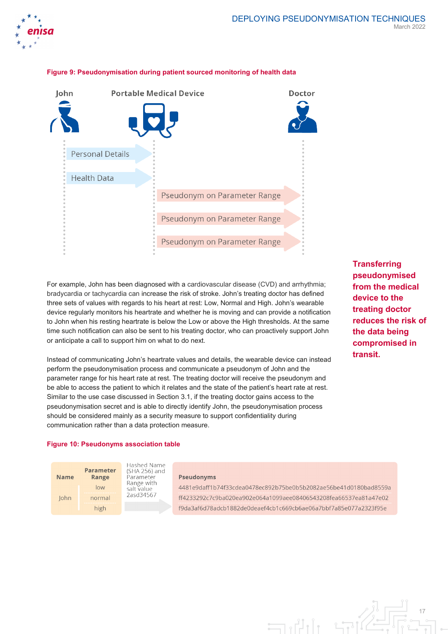



#### **Figure 9: Pseudonymisation during patient sourced monitoring of health data**

For example, John has been diagnosed with a cardiovascular disease (CVD) and arrhythmia; bradycardia or tachycardia can increase the risk of stroke. John's treating doctor has defined three sets of values with regards to his heart at rest: Low, Normal and High. John's wearable device regularly monitors his heartrate and whether he is moving and can provide a notification to John when his resting heartrate is below the Low or above the High thresholds. At the same time such notification can also be sent to his treating doctor, who can proactively support John or anticipate a call to support him on what to do next.

Instead of communicating John's heartrate values and details, the wearable device can instead perform the pseudonymisation process and communicate a pseudonym of John and the parameter range for his heart rate at rest. The treating doctor will receive the pseudonym and be able to access the patient to which it relates and the state of the patient's heart rate at rest. Similar to the use case discussed in Sectio[n 3.1,](#page-12-0) if the treating doctor gains access to the pseudonymisation secret and is able to directly identify John, the pseudonymisation process should be considered mainly as a security measure to support confidentiality during communication rather than a data protection measure.

**Transferring pseudonymised from the medical device to the treating doctor reduces the risk of the data being compromised in transit.** 

17

#### **Figure 10: Pseudonyms association table**



**Hashed Name** (SHA 256) and Parameter Range with salt value 2asd34567

#### **Pseudonyms**

4481e9daff1b74f33cdea0478ec892b75be0b5b2082ae56be41d0180bad8559a ff4233292c7c9ba020ea902e064a1099aee08406543208fea66537ea81a47e02 f9da3af6d78adcb1882de0deaef4cb1c669cb6ae06a7bbf7a85e077a2323f95e

 $\exists$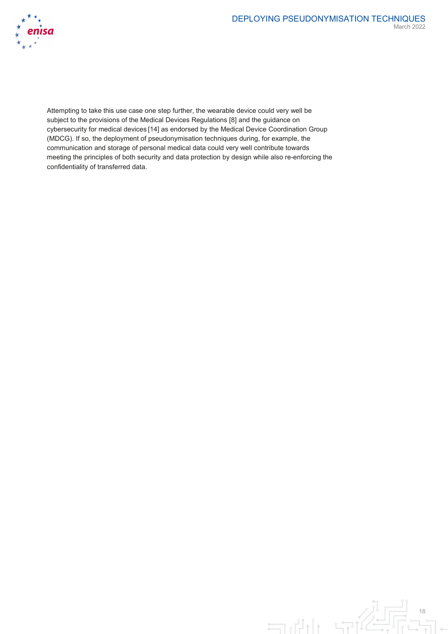

Attempting to take this use case one step further, the wearable device could very well be subject to the provisions of the Medical Devices Regulations [8] and the guidance on cybersecurity for medical devices [14] as endorsed by the Medical Device Coordination Group (MDCG). If so, the deployment of pseudonymisation techniques during, for example, the communication and storage of personal medical data could very well contribute towards meeting the principles of both security and data protection by design while also re-enforcing the confidentiality of transferred data.

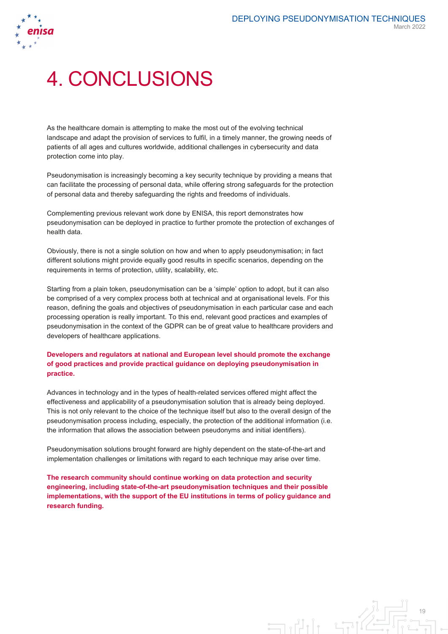

# 4. CONCLUSIONS

As the healthcare domain is attempting to make the most out of the evolving technical landscape and adapt the provision of services to fulfil, in a timely manner, the growing needs of patients of all ages and cultures worldwide, additional challenges in cybersecurity and data protection come into play.

Pseudonymisation is increasingly becoming a key security technique by providing a means that can facilitate the processing of personal data, while offering strong safeguards for the protection of personal data and thereby safeguarding the rights and freedoms of individuals.

Complementing previous relevant work done by ENISA, this report demonstrates how pseudonymisation can be deployed in practice to further promote the protection of exchanges of health data.

Obviously, there is not a single solution on how and when to apply pseudonymisation; in fact different solutions might provide equally good results in specific scenarios, depending on the requirements in terms of protection, utility, scalability, etc.

Starting from a plain token, pseudonymisation can be a 'simple' option to adopt, but it can also be comprised of a very complex process both at technical and at organisational levels. For this reason, defining the goals and objectives of pseudonymisation in each particular case and each processing operation is really important. To this end, relevant good practices and examples of pseudonymisation in the context of the GDPR can be of great value to healthcare providers and developers of healthcare applications.

#### **Developers and regulators at national and European level should promote the exchange of good practices and provide practical guidance on deploying pseudonymisation in practice.**

Advances in technology and in the types of health-related services offered might affect the effectiveness and applicability of a pseudonymisation solution that is already being deployed. This is not only relevant to the choice of the technique itself but also to the overall design of the pseudonymisation process including, especially, the protection of the additional information (i.e. the information that allows the association between pseudonyms and initial identifiers).

Pseudonymisation solutions brought forward are highly dependent on the state-of-the-art and implementation challenges or limitations with regard to each technique may arise over time.

**The research community should continue working on data protection and security engineering, including state-of-the-art pseudonymisation techniques and their possible implementations, with the support of the EU institutions in terms of policy guidance and research funding.** 

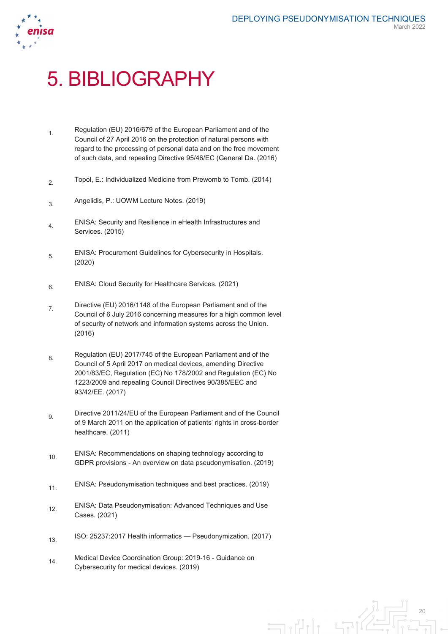

# 5. BIBLIOGRAPHY

- 1 Regulation (EU) 2016/679 of the European Parliament and of the Council of 27 April 2016 on the protection of natural persons with regard to the processing of personal data and on the free movement of such data, and repealing Directive 95/46/EC (General Da. (2016)
- 2. Topol, E.: Individualized Medicine from Prewomb to Tomb. (2014)
- 3. Angelidis, P.: UOWM Lecture Notes. (2019)
- 4. ENISA: Security and Resilience in eHealth Infrastructures and Services. (2015)
- 5. ENISA: Procurement Guidelines for Cybersecurity in Hospitals. (2020)
- 6. ENISA: Cloud Security for Healthcare Services. (2021)
- 7. Directive (EU) 2016/1148 of the European Parliament and of the Council of 6 July 2016 concerning measures for a high common level of security of network and information systems across the Union. (2016)
- 8. Regulation (EU) 2017/745 of the European Parliament and of the Council of 5 April 2017 on medical devices, amending Directive 2001/83/EC, Regulation (EC) No 178/2002 and Regulation (EC) No 1223/2009 and repealing Council Directives 90/385/EEC and 93/42/EE. (2017)
- o Directive 2011/24/EU of the European Parliament and of the Council of 9 March 2011 on the application of patients' rights in cross-border healthcare. (2011)
- 10. ENISA: Recommendations on shaping technology according to GDPR provisions - An overview on data pseudonymisation. (2019)
- 11. ENISA: Pseudonymisation techniques and best practices. (2019)
- 12. ENISA: Data Pseudonymisation: Advanced Techniques and Use Cases. (2021)
- 13. ISO: 25237:2017 Health informatics Pseudonymization. (2017)
- 14 Medical Device Coordination Group: 2019-16 Guidance on Cybersecurity for medical devices. (2019)

20  $\exists$